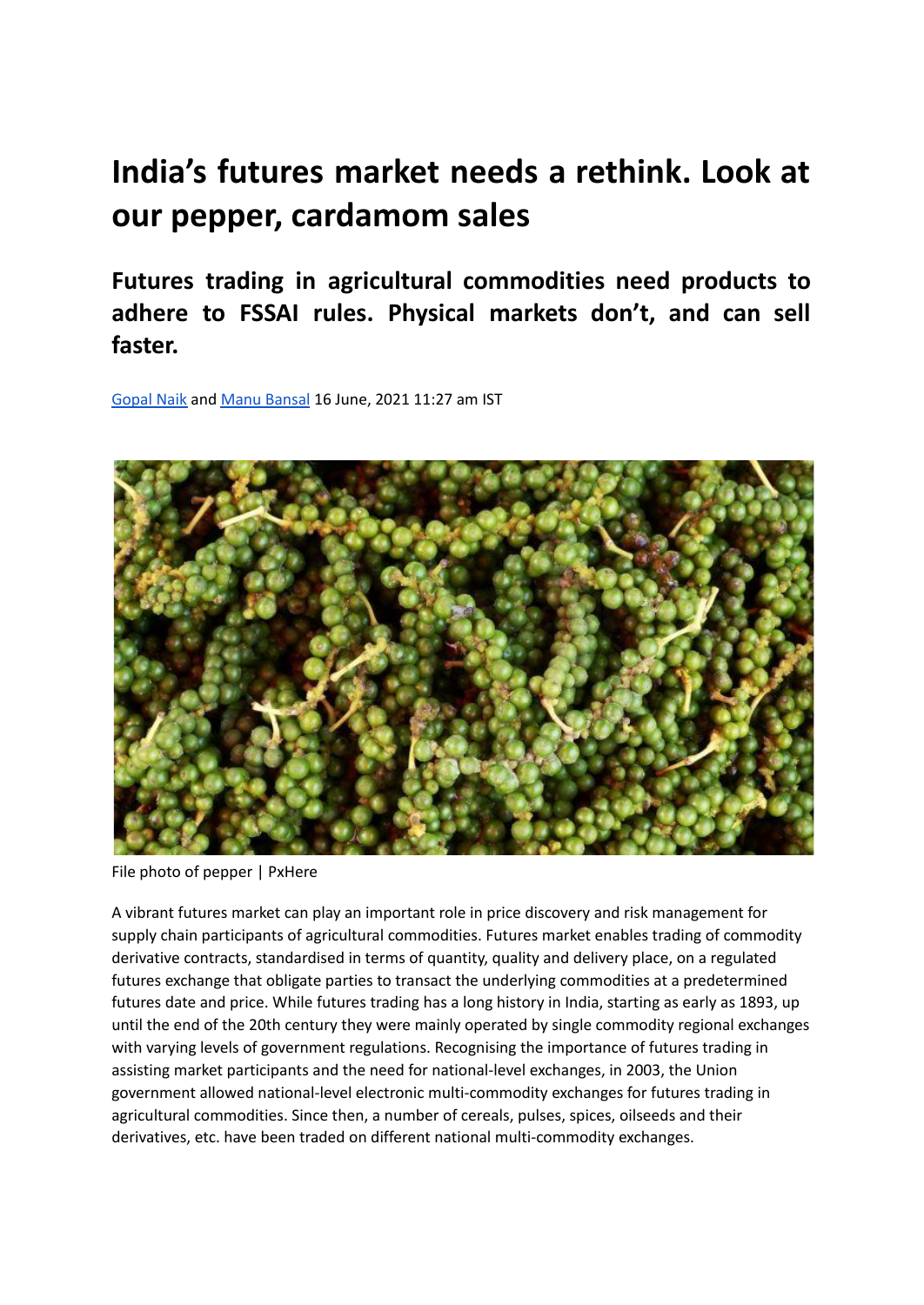## **India's futures market needs a rethink. Look at our pepper, cardamom sales**

**Futures trading in agricultural commodities need products to adhere to FSSAI rules. Physical markets don't, and can sell faster.**

[Gopal](https://theprint.in/author/gopal-naik/) Naik and Manu [Bansal](https://theprint.in/author/manu-bansal/) 16 June, 2021 11:27 am IST



File photo of pepper | PxHere

A vibrant futures market can play an important role in price discovery and risk management for supply chain participants of agricultural commodities. Futures market enables trading of commodity derivative contracts, standardised in terms of quantity, quality and delivery place, on a regulated futures exchange that obligate parties to transact the underlying commodities at a predetermined futures date and price. While futures trading has a long history in India, starting as early as 1893, up until the end of the 20th century they were mainly operated by single commodity regional exchanges with varying levels of government regulations. Recognising the importance of futures trading in assisting market participants and the need for national-level exchanges, in 2003, the Union government allowed national-level electronic multi-commodity exchanges for futures trading in agricultural commodities. Since then, a number of cereals, pulses, spices, oilseeds and their derivatives, etc. have been traded on different national multi-commodity exchanges.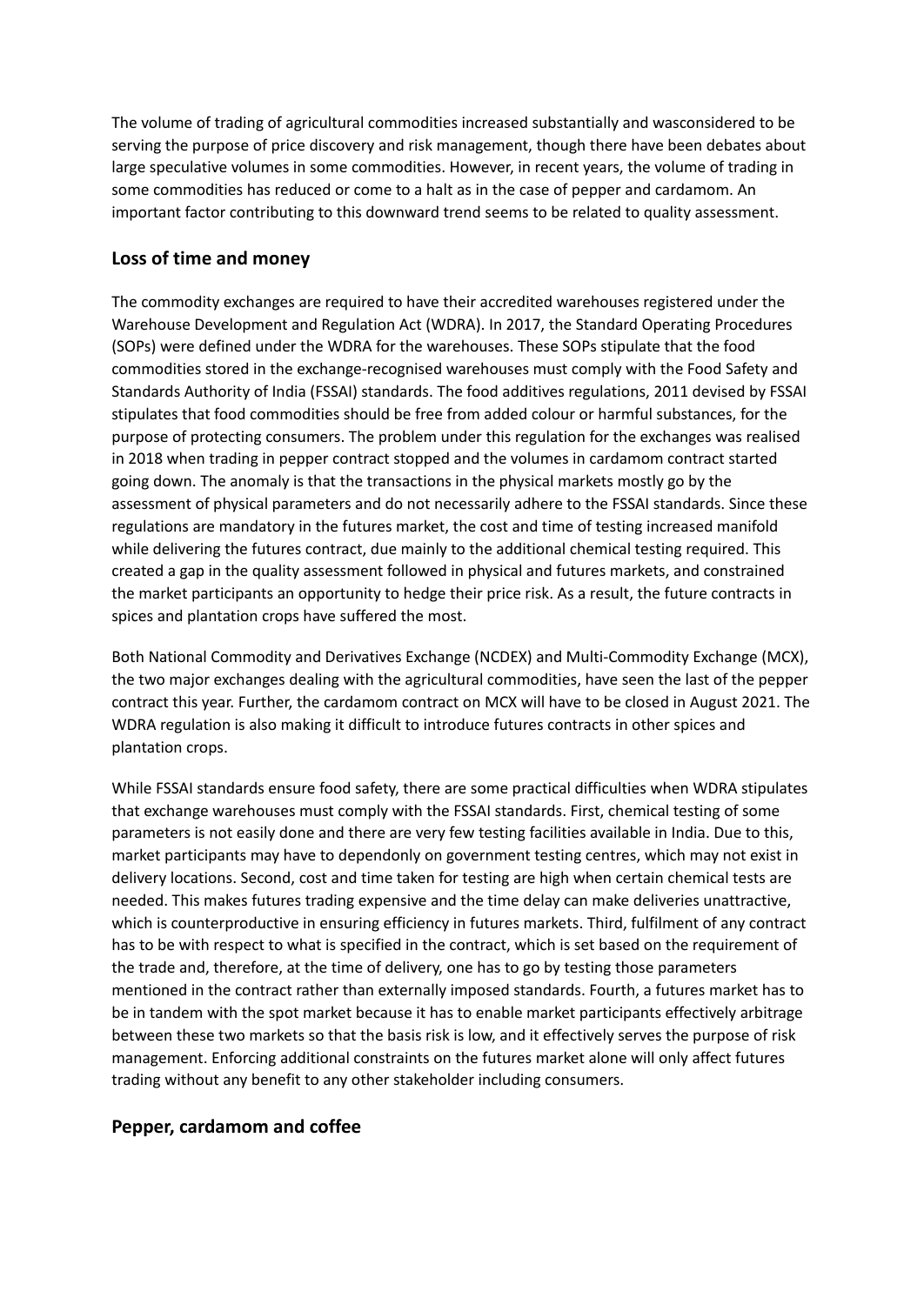The volume of trading of agricultural commodities increased substantially and wasconsidered to be serving the purpose of price discovery and risk management, though there have been debates about large speculative volumes in some commodities. However, in recent years, the volume of trading in some commodities has reduced or come to a halt as in the case of pepper and cardamom. An important factor contributing to this downward trend seems to be related to quality assessment.

## **Loss of time and money**

The commodity exchanges are required to have their accredited warehouses registered under the Warehouse Development and Regulation Act (WDRA). In 2017, the Standard Operating Procedures (SOPs) were defined under the WDRA for the warehouses. These SOPs stipulate that the food commodities stored in the exchange-recognised warehouses must comply with the Food Safety and Standards Authority of India (FSSAI) standards. The food additives regulations, 2011 devised by FSSAI stipulates that food commodities should be free from added colour or harmful substances, for the purpose of protecting consumers. The problem under this regulation for the exchanges was realised in 2018 when trading in pepper contract stopped and the volumes in cardamom contract started going down. The anomaly is that the transactions in the physical markets mostly go by the assessment of physical parameters and do not necessarily adhere to the FSSAI standards. Since these regulations are mandatory in the futures market, the cost and time of testing increased manifold while delivering the futures contract, due mainly to the additional chemical testing required. This created a gap in the quality assessment followed in physical and futures markets, and constrained the market participants an opportunity to hedge their price risk. As a result, the future contracts in spices and plantation crops have suffered the most.

Both National Commodity and Derivatives Exchange (NCDEX) and Multi-Commodity Exchange (MCX), the two major exchanges dealing with the agricultural commodities, have seen the last of the pepper contract this year. Further, the cardamom contract on MCX will have to be closed in August 2021. The WDRA regulation is also making it difficult to introduce futures contracts in other spices and plantation crops.

While FSSAI standards ensure food safety, there are some practical difficulties when WDRA stipulates that exchange warehouses must comply with the FSSAI standards. First, chemical testing of some parameters is not easily done and there are very few testing facilities available in India. Due to this, market participants may have to dependonly on government testing centres, which may not exist in delivery locations. Second, cost and time taken for testing are high when certain chemical tests are needed. This makes futures trading expensive and the time delay can make deliveries unattractive, which is counterproductive in ensuring efficiency in futures markets. Third, fulfilment of any contract has to be with respect to what is specified in the contract, which is set based on the requirement of the trade and, therefore, at the time of delivery, one has to go by testing those parameters mentioned in the contract rather than externally imposed standards. Fourth, a futures market has to be in tandem with the spot market because it has to enable market participants effectively arbitrage between these two markets so that the basis risk is low, and it effectively serves the purpose of risk management. Enforcing additional constraints on the futures market alone will only affect futures trading without any benefit to any other stakeholder including consumers.

## **Pepper, cardamom and coffee**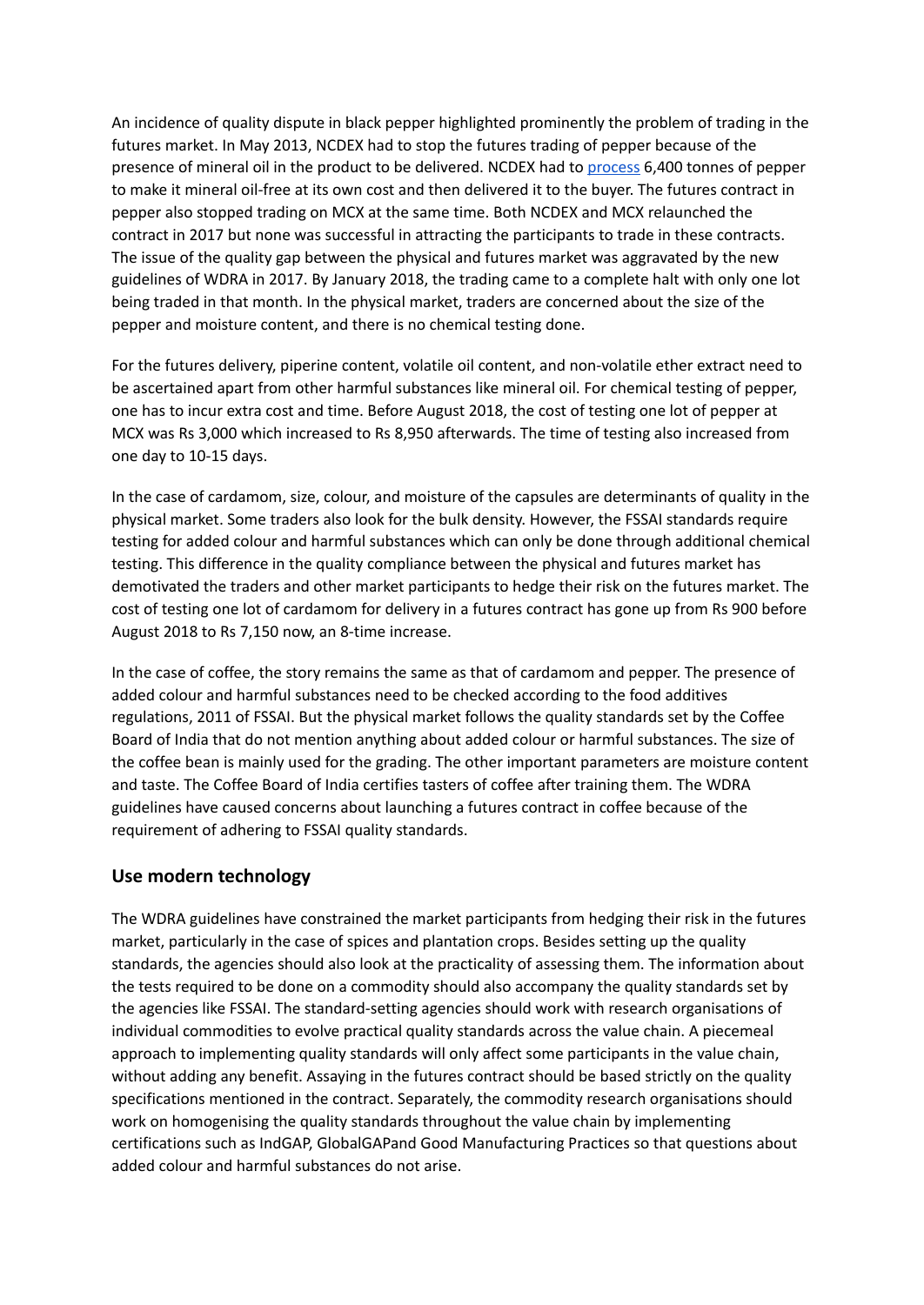An incidence of quality dispute in black pepper highlighted prominently the problem of trading in the futures market. In May 2013, NCDEX had to stop the futures trading of pepper because of the presence of mineral oil in the product to be delivered. NCDEX had to [process](https://economictimes.indiatimes.com/markets/commodities/ncdex-to-clean-6400-tons-adulterated-black-pepper-at-earliest/articleshow/42893351.cms?from=mdr) 6,400 tonnes of pepper to make it mineral oil-free at its own cost and then delivered it to the buyer. The futures contract in pepper also stopped trading on MCX at the same time. Both NCDEX and MCX relaunched the contract in 2017 but none was successful in attracting the participants to trade in these contracts. The issue of the quality gap between the physical and futures market was aggravated by the new guidelines of WDRA in 2017. By January 2018, the trading came to a complete halt with only one lot being traded in that month. In the physical market, traders are concerned about the size of the pepper and moisture content, and there is no chemical testing done.

For the futures delivery, piperine content, volatile oil content, and non-volatile ether extract need to be ascertained apart from other harmful substances like mineral oil. For chemical testing of pepper, one has to incur extra cost and time. Before August 2018, the cost of testing one lot of pepper at MCX was Rs 3,000 which increased to Rs 8,950 afterwards. The time of testing also increased from one day to 10-15 days.

In the case of cardamom, size, colour, and moisture of the capsules are determinants of quality in the physical market. Some traders also look for the bulk density. However, the FSSAI standards require testing for added colour and harmful substances which can only be done through additional chemical testing. This difference in the quality compliance between the physical and futures market has demotivated the traders and other market participants to hedge their risk on the futures market. The cost of testing one lot of cardamom for delivery in a futures contract has gone up from Rs 900 before August 2018 to Rs 7,150 now, an 8-time increase.

In the case of coffee, the story remains the same as that of cardamom and pepper. The presence of added colour and harmful substances need to be checked according to the food additives regulations, 2011 of FSSAI. But the physical market follows the quality standards set by the Coffee Board of India that do not mention anything about added colour or harmful substances. The size of the coffee bean is mainly used for the grading. The other important parameters are moisture content and taste. The Coffee Board of India certifies tasters of coffee after training them. The WDRA guidelines have caused concerns about launching a futures contract in coffee because of the requirement of adhering to FSSAI quality standards.

## **Use modern technology**

The WDRA guidelines have constrained the market participants from hedging their risk in the futures market, particularly in the case of spices and plantation crops. Besides setting up the quality standards, the agencies should also look at the practicality of assessing them. The information about the tests required to be done on a commodity should also accompany the quality standards set by the agencies like FSSAI. The standard-setting agencies should work with research organisations of individual commodities to evolve practical quality standards across the value chain. A piecemeal approach to implementing quality standards will only affect some participants in the value chain, without adding any benefit. Assaying in the futures contract should be based strictly on the quality specifications mentioned in the contract. Separately, the commodity research organisations should work on homogenising the quality standards throughout the value chain by implementing certifications such as IndGAP, GlobalGAPand Good Manufacturing Practices so that questions about added colour and harmful substances do not arise.